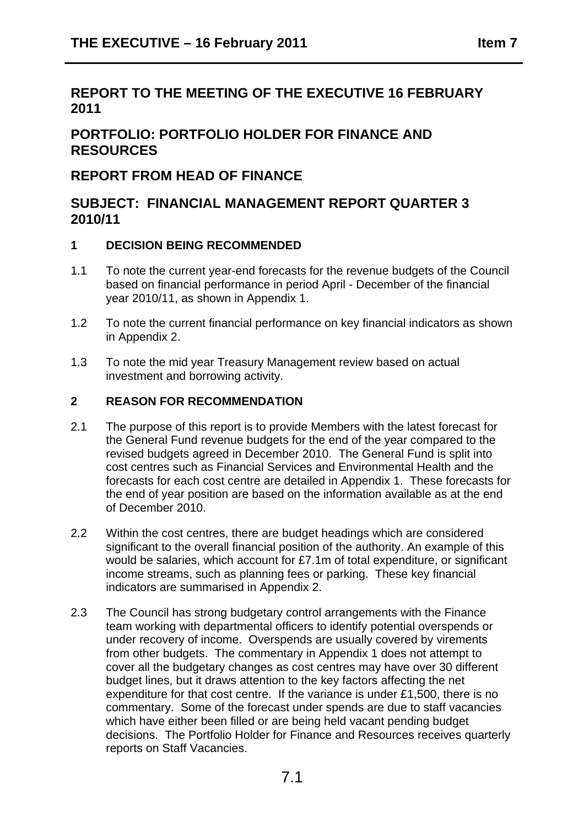# **REPORT TO THE MEETING OF THE EXECUTIVE 16 FEBRUARY 2011**

# **PORTFOLIO: PORTFOLIO HOLDER FOR FINANCE AND RESOURCES**

## **REPORT FROM HEAD OF FINANCE**

## **SUBJECT: FINANCIAL MANAGEMENT REPORT QUARTER 3 2010/11**

#### **1 DECISION BEING RECOMMENDED**

- 1.1 To note the current year-end forecasts for the revenue budgets of the Council based on financial performance in period April - December of the financial year 2010/11, as shown in Appendix 1.
- 1.2 To note the current financial performance on key financial indicators as shown in Appendix 2.
- 1.3 To note the mid year Treasury Management review based on actual investment and borrowing activity.

#### **2 REASON FOR RECOMMENDATION**

- 2.1 The purpose of this report is to provide Members with the latest forecast for the General Fund revenue budgets for the end of the year compared to the revised budgets agreed in December 2010. The General Fund is split into cost centres such as Financial Services and Environmental Health and the forecasts for each cost centre are detailed in Appendix 1. These forecasts for the end of year position are based on the information available as at the end of December 2010.
- 2.2 Within the cost centres, there are budget headings which are considered significant to the overall financial position of the authority. An example of this would be salaries, which account for £7.1m of total expenditure, or significant income streams, such as planning fees or parking. These key financial indicators are summarised in Appendix 2.
- 2.3 The Council has strong budgetary control arrangements with the Finance team working with departmental officers to identify potential overspends or under recovery of income. Overspends are usually covered by virements from other budgets. The commentary in Appendix 1 does not attempt to cover all the budgetary changes as cost centres may have over 30 different budget lines, but it draws attention to the key factors affecting the net expenditure for that cost centre. If the variance is under £1,500, there is no commentary. Some of the forecast under spends are due to staff vacancies which have either been filled or are being held vacant pending budget decisions. The Portfolio Holder for Finance and Resources receives quarterly reports on Staff Vacancies.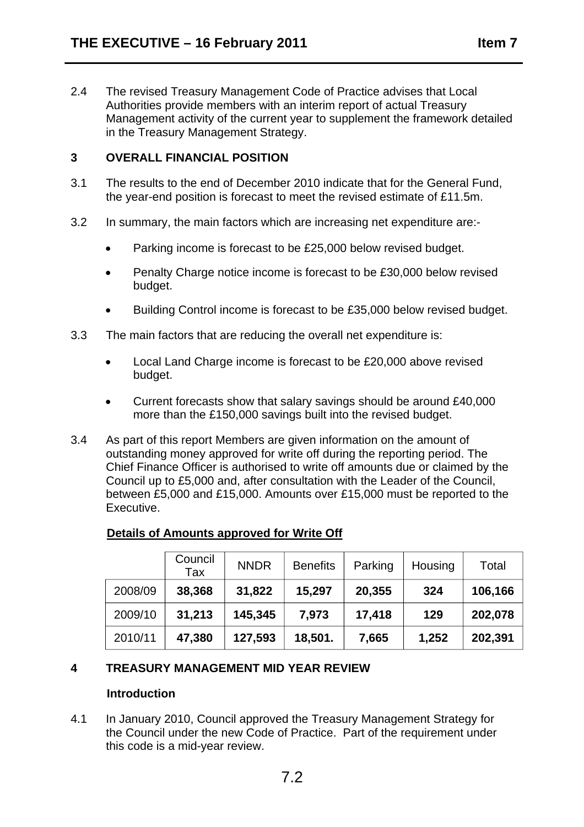2.4 The revised Treasury Management Code of Practice advises that Local Authorities provide members with an interim report of actual Treasury Management activity of the current year to supplement the framework detailed in the Treasury Management Strategy.

#### **3 OVERALL FINANCIAL POSITION**

- 3.1 The results to the end of December 2010 indicate that for the General Fund, the year-end position is forecast to meet the revised estimate of £11.5m.
- 3.2 In summary, the main factors which are increasing net expenditure are:-
	- Parking income is forecast to be £25,000 below revised budget.
	- Penalty Charge notice income is forecast to be £30,000 below revised budget.
	- Building Control income is forecast to be £35,000 below revised budget.
- 3.3 The main factors that are reducing the overall net expenditure is:
	- Local Land Charge income is forecast to be £20,000 above revised budget.
	- Current forecasts show that salary savings should be around £40,000 more than the £150,000 savings built into the revised budget.
- 3.4 As part of this report Members are given information on the amount of outstanding money approved for write off during the reporting period. The Chief Finance Officer is authorised to write off amounts due or claimed by the Council up to £5,000 and, after consultation with the Leader of the Council, between £5,000 and £15,000. Amounts over £15,000 must be reported to the Executive.

#### **Details of Amounts approved for Write Off**

|         | Council<br>Tax | <b>NNDR</b> | <b>Benefits</b> | Parking | Housing | Total   |
|---------|----------------|-------------|-----------------|---------|---------|---------|
| 2008/09 | 38,368         | 31,822      | 15,297          | 20,355  | 324     | 106,166 |
| 2009/10 | 31,213         | 145,345     | 7,973           | 17,418  | 129     | 202,078 |
| 2010/11 | 47,380         | 127,593     | 18,501.         | 7,665   | 1,252   | 202,391 |

#### **4 TREASURY MANAGEMENT MID YEAR REVIEW**

#### **Introduction**

4.1 In January 2010, Council approved the Treasury Management Strategy for the Council under the new Code of Practice. Part of the requirement under this code is a mid-year review.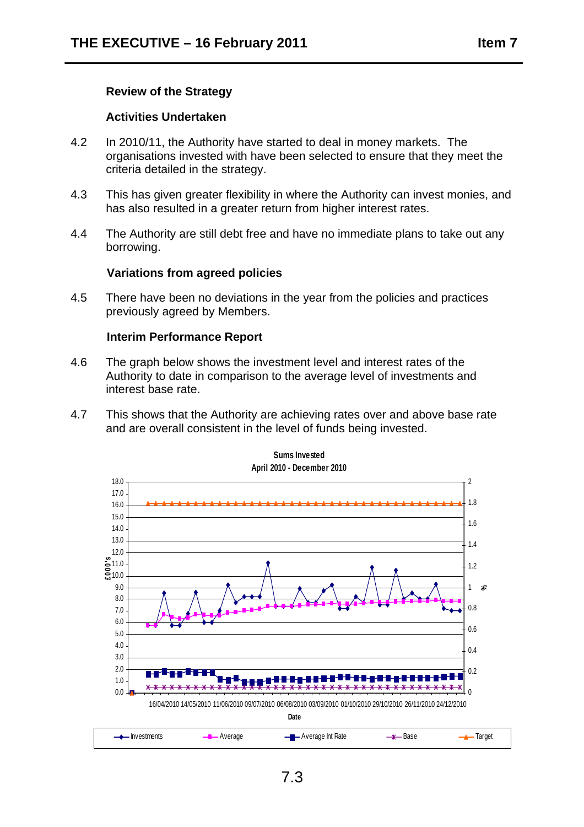#### **Review of the Strategy**

#### **Activities Undertaken**

- 4.2 In 2010/11, the Authority have started to deal in money markets. The organisations invested with have been selected to ensure that they meet the criteria detailed in the strategy.
- 4.3 This has given greater flexibility in where the Authority can invest monies, and has also resulted in a greater return from higher interest rates.
- 4.4 The Authority are still debt free and have no immediate plans to take out any borrowing.

#### **Variations from agreed policies**

4.5 There have been no deviations in the year from the policies and practices previously agreed by Members.

#### **Interim Performance Report**

- 4.6 The graph below shows the investment level and interest rates of the Authority to date in comparison to the average level of investments and interest base rate.
- 4.7 This shows that the Authority are achieving rates over and above base rate and are overall consistent in the level of funds being invested.

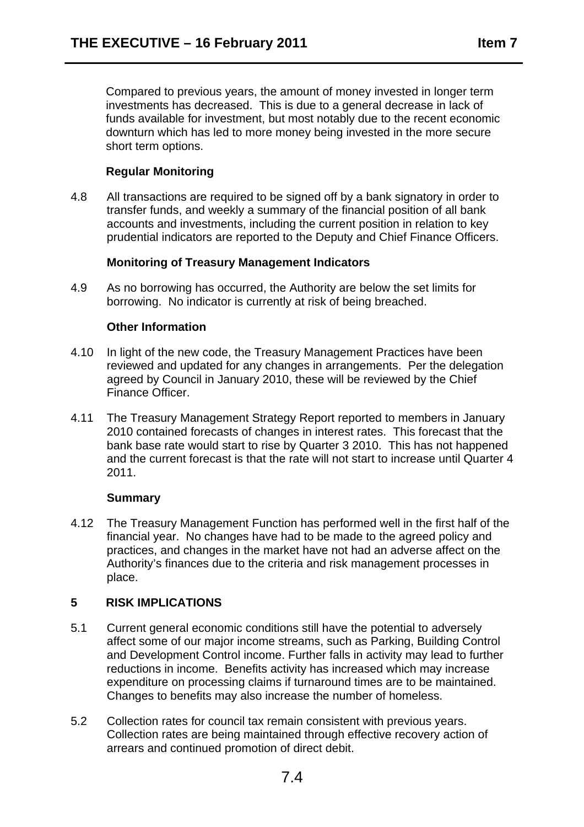Compared to previous years, the amount of money invested in longer term investments has decreased. This is due to a general decrease in lack of funds available for investment, but most notably due to the recent economic downturn which has led to more money being invested in the more secure short term options.

## **Regular Monitoring**

4.8 All transactions are required to be signed off by a bank signatory in order to transfer funds, and weekly a summary of the financial position of all bank accounts and investments, including the current position in relation to key prudential indicators are reported to the Deputy and Chief Finance Officers.

#### **Monitoring of Treasury Management Indicators**

4.9 As no borrowing has occurred, the Authority are below the set limits for borrowing. No indicator is currently at risk of being breached.

#### **Other Information**

- 4.10 In light of the new code, the Treasury Management Practices have been reviewed and updated for any changes in arrangements. Per the delegation agreed by Council in January 2010, these will be reviewed by the Chief Finance Officer.
- 4.11 The Treasury Management Strategy Report reported to members in January 2010 contained forecasts of changes in interest rates. This forecast that the bank base rate would start to rise by Quarter 3 2010. This has not happened and the current forecast is that the rate will not start to increase until Quarter 4 2011.

#### **Summary**

4.12 The Treasury Management Function has performed well in the first half of the financial year. No changes have had to be made to the agreed policy and practices, and changes in the market have not had an adverse affect on the Authority's finances due to the criteria and risk management processes in place.

#### **5 RISK IMPLICATIONS**

- 5.1 Current general economic conditions still have the potential to adversely affect some of our major income streams, such as Parking, Building Control and Development Control income. Further falls in activity may lead to further reductions in income. Benefits activity has increased which may increase expenditure on processing claims if turnaround times are to be maintained. Changes to benefits may also increase the number of homeless.
- 5.2 Collection rates for council tax remain consistent with previous years. Collection rates are being maintained through effective recovery action of arrears and continued promotion of direct debit.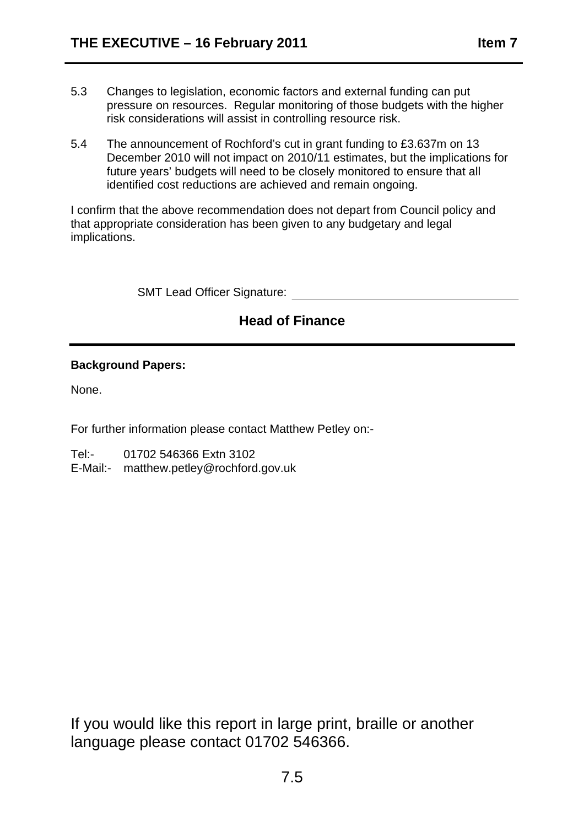- 5.3 Changes to legislation, economic factors and external funding can put pressure on resources. Regular monitoring of those budgets with the higher risk considerations will assist in controlling resource risk.
- 5.4 The announcement of Rochford's cut in grant funding to £3.637m on 13 December 2010 will not impact on 2010/11 estimates, but the implications for future years' budgets will need to be closely monitored to ensure that all identified cost reductions are achieved and remain ongoing.

I confirm that the above recommendation does not depart from Council policy and that appropriate consideration has been given to any budgetary and legal implications.

SMT Lead Officer Signature:

# **Head of Finance**

#### **Background Papers:**

None.

For further information please contact Matthew Petley on:-

Tel:- 01702 546366 Extn 3102

E-Mail:- matthew.petley@rochford.gov.uk

If you would like this report in large print, braille or another language please contact 01702 546366.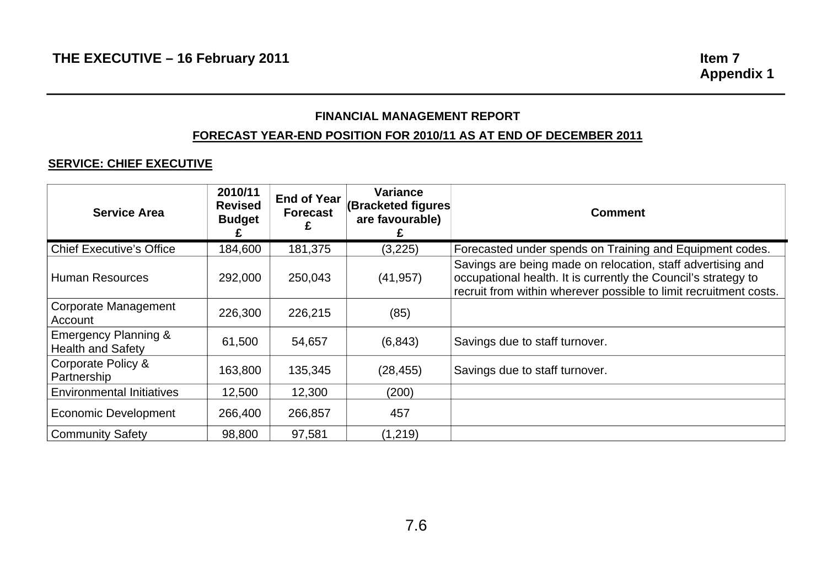## **FINANCIAL MANAGEMENT REPORT**

#### **FORECAST YEAR-END POSITION FOR 2010/11 AS AT END OF DECEMBER 2011**

#### **SERVICE: CHIEF EXECUTIVE**

| <b>Service Area</b>                                         | 2010/11<br><b>Revised</b><br><b>Budget</b> | <b>End of Year</b><br><b>Forecast</b><br>£ | <b>Variance</b><br>(Bracketed figures<br>are favourable) | <b>Comment</b>                                                                                                                                                                                     |
|-------------------------------------------------------------|--------------------------------------------|--------------------------------------------|----------------------------------------------------------|----------------------------------------------------------------------------------------------------------------------------------------------------------------------------------------------------|
| <b>Chief Executive's Office</b>                             | 184,600                                    | 181,375                                    | (3,225)                                                  | Forecasted under spends on Training and Equipment codes.                                                                                                                                           |
| <b>Human Resources</b>                                      | 292,000                                    | 250,043                                    | (41, 957)                                                | Savings are being made on relocation, staff advertising and<br>occupational health. It is currently the Council's strategy to<br>recruit from within wherever possible to limit recruitment costs. |
| <b>Corporate Management</b><br>Account                      | 226,300                                    | 226,215                                    | (85)                                                     |                                                                                                                                                                                                    |
| <b>Emergency Planning &amp;</b><br><b>Health and Safety</b> | 61,500                                     | 54,657                                     | (6, 843)                                                 | Savings due to staff turnover.                                                                                                                                                                     |
| Corporate Policy &<br>Partnership                           | 163,800                                    | 135,345                                    | (28, 455)                                                | Savings due to staff turnover.                                                                                                                                                                     |
| <b>Environmental Initiatives</b>                            | 12,500                                     | 12,300                                     | (200)                                                    |                                                                                                                                                                                                    |
| <b>Economic Development</b>                                 | 266,400                                    | 266,857                                    | 457                                                      |                                                                                                                                                                                                    |
| <b>Community Safety</b>                                     | 98,800                                     | 97,581                                     | (1,219)                                                  |                                                                                                                                                                                                    |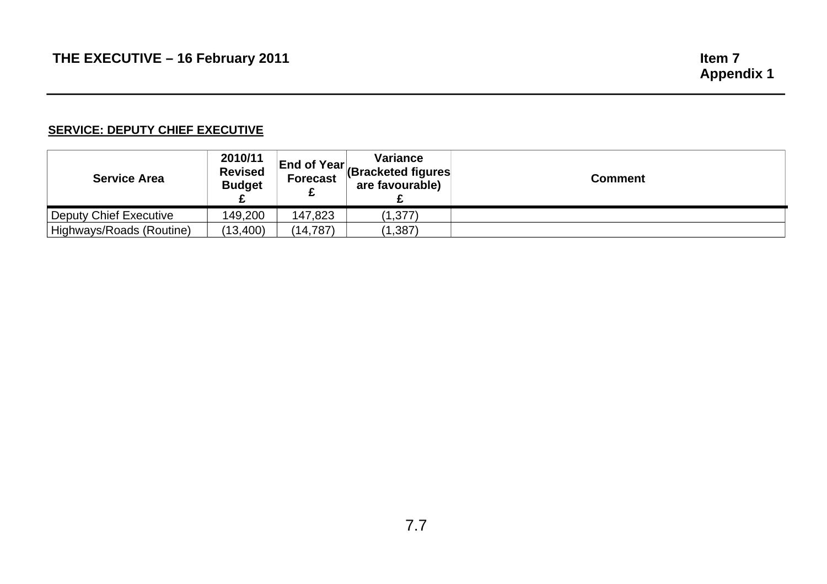#### **SERVICE: DEPUTY CHIEF EXECUTIVE**

| <b>Service Area</b>           | 2010/11<br><b>Revised</b><br><b>Budget</b> | <b>Forecast</b> | Variance<br><b>End of Year</b> Bracketed figures<br>are favourable) | <b>Comment</b> |
|-------------------------------|--------------------------------------------|-----------------|---------------------------------------------------------------------|----------------|
| <b>Deputy Chief Executive</b> | 149,200                                    | 147,823         | (1, 377)                                                            |                |
| Highways/Roads (Routine)      | (13,400)                                   | (14, 787)       | (1, 387)                                                            |                |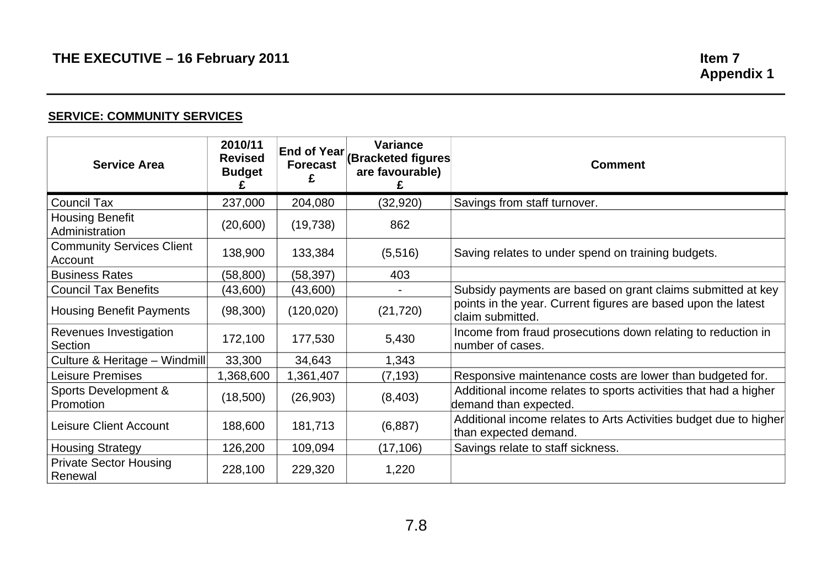#### **SERVICE: COMMUNITY SERVICES**

| <b>Service Area</b>                         | 2010/11<br><b>Revised</b><br><b>Budget</b> | <b>Forecast</b> | <b>Variance</b><br><b>End of Year (Bracketed figures)</b><br>are favourable) | <b>Comment</b>                                                                             |
|---------------------------------------------|--------------------------------------------|-----------------|------------------------------------------------------------------------------|--------------------------------------------------------------------------------------------|
| <b>Council Tax</b>                          | 237,000                                    | 204,080         | (32, 920)                                                                    | Savings from staff turnover.                                                               |
| <b>Housing Benefit</b><br>Administration    | (20,600)                                   | (19, 738)       | 862                                                                          |                                                                                            |
| <b>Community Services Client</b><br>Account | 138,900                                    | 133,384         | (5,516)                                                                      | Saving relates to under spend on training budgets.                                         |
| <b>Business Rates</b>                       | (58, 800)                                  | (58, 397)       | 403                                                                          |                                                                                            |
| <b>Council Tax Benefits</b>                 | (43,600)                                   | (43,600)        |                                                                              | Subsidy payments are based on grant claims submitted at key                                |
| <b>Housing Benefit Payments</b>             | (98, 300)                                  | (120, 020)      | (21, 720)                                                                    | points in the year. Current figures are based upon the latest<br>claim submitted.          |
| Revenues Investigation<br>Section           | 172,100                                    | 177,530         | 5,430                                                                        | Income from fraud prosecutions down relating to reduction in<br>number of cases.           |
| Culture & Heritage - Windmill               | 33,300                                     | 34,643          | 1,343                                                                        |                                                                                            |
| <b>Leisure Premises</b>                     | 1,368,600                                  | 1,361,407       | (7, 193)                                                                     | Responsive maintenance costs are lower than budgeted for.                                  |
| Sports Development &<br>Promotion           | (18,500)                                   | (26, 903)       | (8,403)                                                                      | Additional income relates to sports activities that had a higher<br>demand than expected.  |
| <b>Leisure Client Account</b>               | 188,600                                    | 181,713         | (6,887)                                                                      | Additional income relates to Arts Activities budget due to higher<br>than expected demand. |
| <b>Housing Strategy</b>                     | 126,200                                    | 109,094         | (17, 106)                                                                    | Savings relate to staff sickness.                                                          |
| <b>Private Sector Housing</b><br>Renewal    | 228,100                                    | 229,320         | 1,220                                                                        |                                                                                            |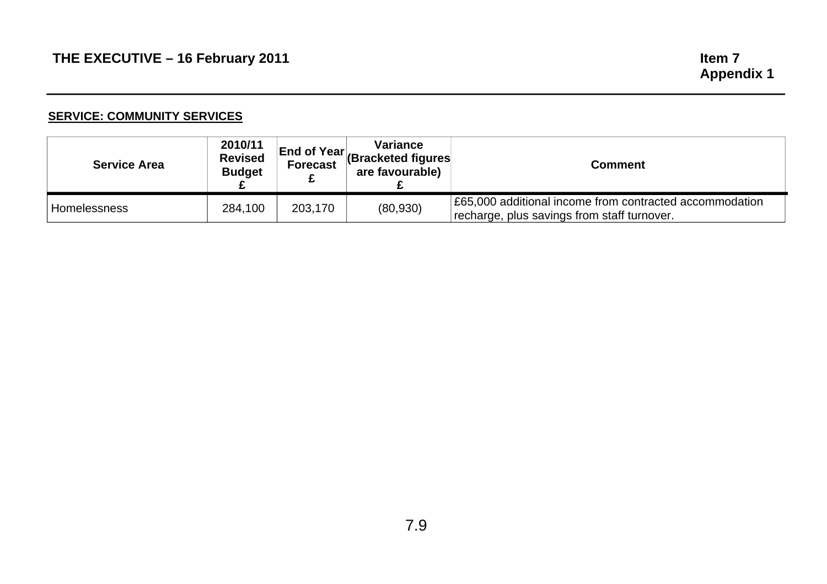#### **SERVICE: COMMUNITY SERVICES**

| <b>Service Area</b> | 2010/11<br><b>Revised</b><br><b>Budget</b> | <b>Forecast</b> | <b>Variance</b><br><b>End of Year (Bracketed figures</b><br>are favourable) | <b>Comment</b>                                                                                         |
|---------------------|--------------------------------------------|-----------------|-----------------------------------------------------------------------------|--------------------------------------------------------------------------------------------------------|
| <b>Homelessness</b> | 284,100                                    | 203,170         | (80, 930)                                                                   | E65,000 additional income from contracted accommodation<br>recharge, plus savings from staff turnover. |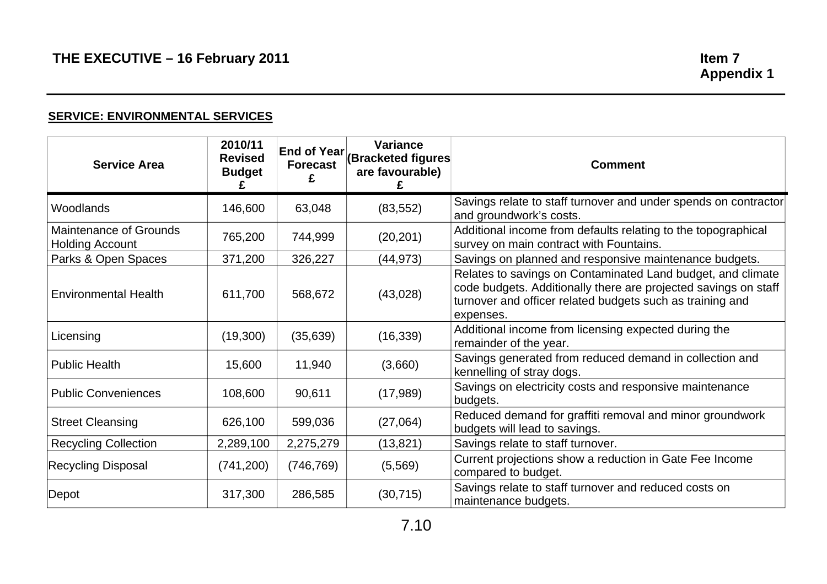#### **SERVICE: ENVIRONMENTAL SERVICES**

| <b>Service Area</b>                                     | 2010/11<br><b>Revised</b><br><b>Budget</b> | <b>Forecast</b> | <b>Variance</b><br><b>End of Year (Bracketed figures)</b><br>are favourable) | <b>Comment</b>                                                                                                                                                                                           |
|---------------------------------------------------------|--------------------------------------------|-----------------|------------------------------------------------------------------------------|----------------------------------------------------------------------------------------------------------------------------------------------------------------------------------------------------------|
| Woodlands                                               | 146,600                                    | 63,048          | (83, 552)                                                                    | Savings relate to staff turnover and under spends on contractor<br>and groundwork's costs.                                                                                                               |
| <b>Maintenance of Grounds</b><br><b>Holding Account</b> | 765,200                                    | 744,999         | (20, 201)                                                                    | Additional income from defaults relating to the topographical<br>survey on main contract with Fountains.                                                                                                 |
| Parks & Open Spaces                                     | 371,200                                    | 326,227         | (44, 973)                                                                    | Savings on planned and responsive maintenance budgets.                                                                                                                                                   |
| <b>Environmental Health</b>                             | 611,700                                    | 568,672         | (43,028)                                                                     | Relates to savings on Contaminated Land budget, and climate<br>code budgets. Additionally there are projected savings on staff<br>turnover and officer related budgets such as training and<br>expenses. |
| Licensing                                               | (19,300)                                   | (35, 639)       | (16, 339)                                                                    | Additional income from licensing expected during the<br>remainder of the year.                                                                                                                           |
| <b>Public Health</b>                                    | 15,600                                     | 11,940          | (3,660)                                                                      | Savings generated from reduced demand in collection and<br>kennelling of stray dogs.                                                                                                                     |
| <b>Public Conveniences</b>                              | 108,600                                    | 90,611          | (17,989)                                                                     | Savings on electricity costs and responsive maintenance<br>budgets.                                                                                                                                      |
| <b>Street Cleansing</b>                                 | 626,100                                    | 599,036         | (27,064)                                                                     | Reduced demand for graffiti removal and minor groundwork<br>budgets will lead to savings.                                                                                                                |
| <b>Recycling Collection</b>                             | 2,289,100                                  | 2,275,279       | (13, 821)                                                                    | Savings relate to staff turnover.                                                                                                                                                                        |
| <b>Recycling Disposal</b>                               | (741, 200)                                 | (746, 769)      | (5, 569)                                                                     | Current projections show a reduction in Gate Fee Income<br>compared to budget.                                                                                                                           |
| Depot                                                   | 317,300                                    | 286,585         | (30, 715)                                                                    | Savings relate to staff turnover and reduced costs on<br>maintenance budgets.                                                                                                                            |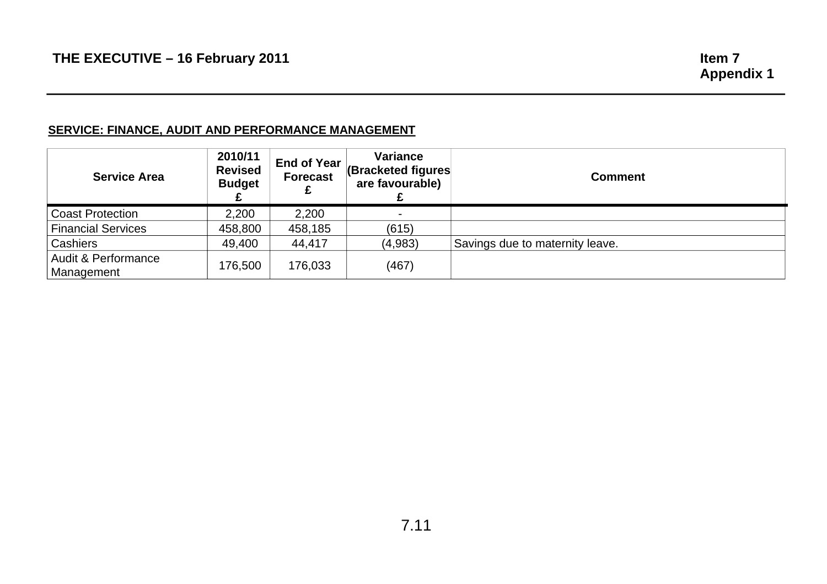# **SERVICE: FINANCE, AUDIT AND PERFORMANCE MANAGEMENT**

| <b>Service Area</b>               | 2010/11<br><b>Revised</b><br><b>Budget</b> | End of Year<br><b>Forecast</b> | Variance<br><b>(Bracketed figures)</b><br>are favourable) | <b>Comment</b>                  |
|-----------------------------------|--------------------------------------------|--------------------------------|-----------------------------------------------------------|---------------------------------|
| <b>Coast Protection</b>           | 2,200                                      | 2,200                          |                                                           |                                 |
| <b>Financial Services</b>         | 458,800                                    | 458,185                        | (615)                                                     |                                 |
| Cashiers                          | 49,400                                     | 44.417                         | (4,983)                                                   | Savings due to maternity leave. |
| Audit & Performance<br>Management | 176,500                                    | 176,033                        | (467)                                                     |                                 |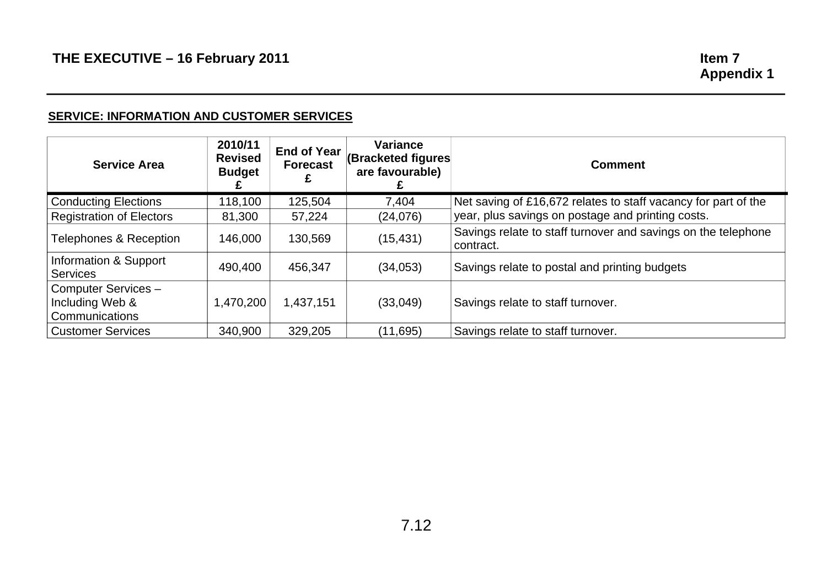#### **SERVICE: INFORMATION AND CUSTOMER SERVICES**

| <b>Service Area</b>                      | 2010/11<br><b>Revised</b><br><b>Budget</b> | <b>End of Year</b><br><b>Forecast</b> | <b>Variance</b><br>(Bracketed figures<br>are favourable) | <b>Comment</b>                                                             |
|------------------------------------------|--------------------------------------------|---------------------------------------|----------------------------------------------------------|----------------------------------------------------------------------------|
| <b>Conducting Elections</b>              | 118,100                                    | 125,504                               | 7,404                                                    | Net saving of £16,672 relates to staff vacancy for part of the             |
| <b>Registration of Electors</b>          | 81,300                                     | 57,224                                | (24, 076)                                                | year, plus savings on postage and printing costs.                          |
| Telephones & Reception                   | 146,000                                    | 130,569                               | (15, 431)                                                | Savings relate to staff turnover and savings on the telephone<br>contract. |
| Information & Support<br><b>Services</b> | 490,400                                    | 456,347                               | (34,053)                                                 | Savings relate to postal and printing budgets                              |
| Computer Services-                       |                                            |                                       |                                                          |                                                                            |
| Including Web &                          | 1,470,200                                  | 1,437,151                             | (33,049)                                                 | Savings relate to staff turnover.                                          |
| Communications                           |                                            |                                       |                                                          |                                                                            |
| <b>Customer Services</b>                 | 340,900                                    | 329,205                               | (11,695)                                                 | Savings relate to staff turnover.                                          |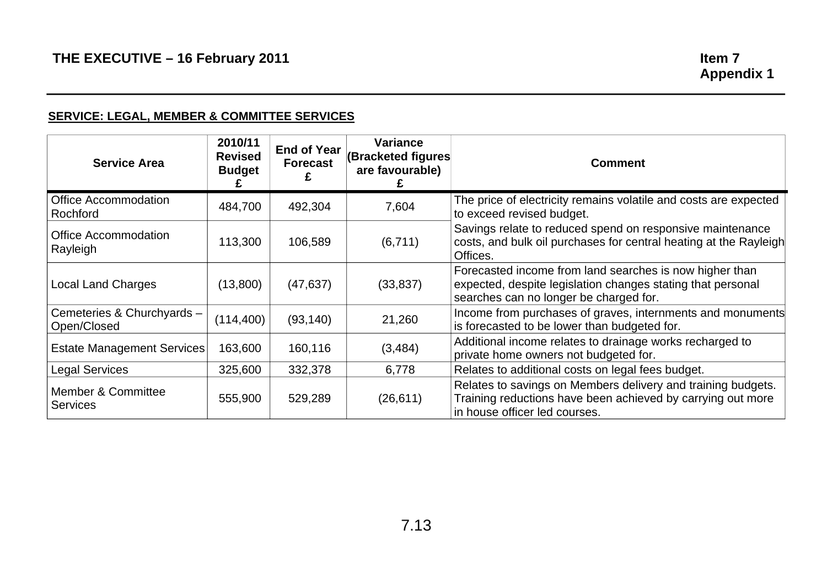# **SERVICE: LEGAL, MEMBER & COMMITTEE SERVICES**

| <b>Service Area</b>                              | 2010/11<br><b>Revised</b><br><b>Budget</b> | <b>End of Year</b><br><b>Forecast</b> | <b>Variance</b><br>(Bracketed figures<br>are favourable) | <b>Comment</b>                                                                                                                                                   |
|--------------------------------------------------|--------------------------------------------|---------------------------------------|----------------------------------------------------------|------------------------------------------------------------------------------------------------------------------------------------------------------------------|
| <b>Office Accommodation</b><br>Rochford          | 484,700                                    | 492,304                               | 7,604                                                    | The price of electricity remains volatile and costs are expected<br>to exceed revised budget.                                                                    |
| <b>Office Accommodation</b><br>Rayleigh          | 113,300                                    | 106,589                               | (6,711)                                                  | Savings relate to reduced spend on responsive maintenance<br>costs, and bulk oil purchases for central heating at the Rayleigh<br>Offices.                       |
| <b>Local Land Charges</b>                        | (13,800)                                   | (47, 637)                             | (33, 837)                                                | Forecasted income from land searches is now higher than<br>expected, despite legislation changes stating that personal<br>searches can no longer be charged for. |
| Cemeteries & Churchyards -<br>Open/Closed        | (114, 400)                                 | (93, 140)                             | 21,260                                                   | Income from purchases of graves, internments and monuments<br>is forecasted to be lower than budgeted for.                                                       |
| <b>Estate Management Services</b>                | 163,600                                    | 160,116                               | (3, 484)                                                 | Additional income relates to drainage works recharged to<br>private home owners not budgeted for.                                                                |
| <b>Legal Services</b>                            | 325,600                                    | 332,378                               | 6,778                                                    | Relates to additional costs on legal fees budget.                                                                                                                |
| <b>Member &amp; Committee</b><br><b>Services</b> | 555,900                                    | 529,289                               | (26, 611)                                                | Relates to savings on Members delivery and training budgets.<br>Training reductions have been achieved by carrying out more<br>in house officer led courses.     |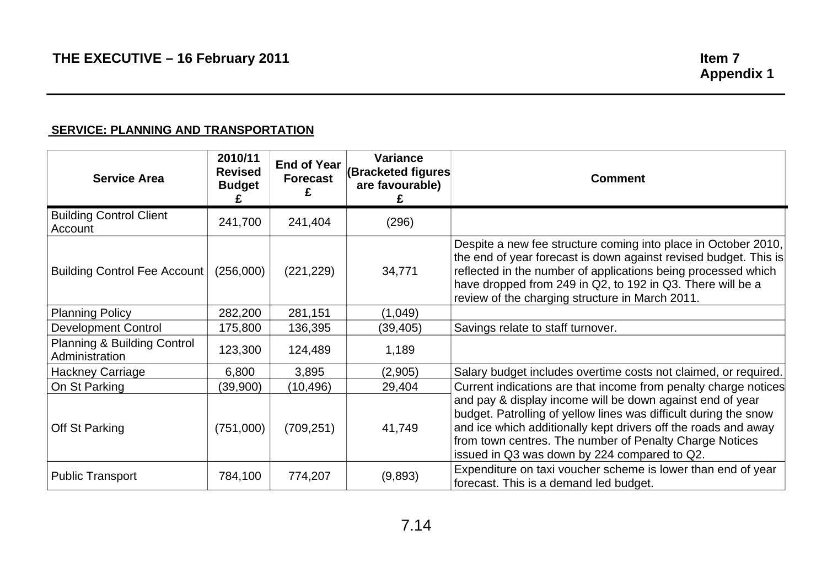#### **SERVICE: PLANNING AND TRANSPORTATION**

| <b>Service Area</b>                           | 2010/11<br><b>Revised</b><br><b>Budget</b> | <b>End of Year</b><br><b>Forecast</b> | <b>Variance</b><br>(Bracketed figures<br>are favourable) | <b>Comment</b>                                                                                                                                                                                                                                                                                                       |
|-----------------------------------------------|--------------------------------------------|---------------------------------------|----------------------------------------------------------|----------------------------------------------------------------------------------------------------------------------------------------------------------------------------------------------------------------------------------------------------------------------------------------------------------------------|
| <b>Building Control Client</b><br>Account     | 241,700                                    | 241,404                               | (296)                                                    |                                                                                                                                                                                                                                                                                                                      |
| <b>Building Control Fee Account</b>           | (256,000)                                  | (221, 229)                            | 34,771                                                   | Despite a new fee structure coming into place in October 2010,<br>the end of year forecast is down against revised budget. This is<br>reflected in the number of applications being processed which<br>have dropped from 249 in Q2, to 192 in Q3. There will be a<br>review of the charging structure in March 2011. |
| <b>Planning Policy</b>                        | 282,200                                    | 281,151                               | (1,049)                                                  |                                                                                                                                                                                                                                                                                                                      |
| <b>Development Control</b>                    | 175,800                                    | 136,395                               | (39, 405)                                                | Savings relate to staff turnover.                                                                                                                                                                                                                                                                                    |
| Planning & Building Control<br>Administration | 123,300                                    | 124,489                               | 1,189                                                    |                                                                                                                                                                                                                                                                                                                      |
| <b>Hackney Carriage</b>                       | 6,800                                      | 3,895                                 | (2,905)                                                  | Salary budget includes overtime costs not claimed, or required.                                                                                                                                                                                                                                                      |
| On St Parking                                 | (39,900)                                   | (10,496)                              | 29,404                                                   | Current indications are that income from penalty charge notices                                                                                                                                                                                                                                                      |
| Off St Parking                                | (751,000)                                  | (709, 251)                            | 41,749                                                   | and pay & display income will be down against end of year<br>budget. Patrolling of yellow lines was difficult during the snow<br>and ice which additionally kept drivers off the roads and away<br>from town centres. The number of Penalty Charge Notices<br>issued in Q3 was down by 224 compared to Q2.           |
| <b>Public Transport</b>                       | 784,100                                    | 774,207                               | (9,893)                                                  | Expenditure on taxi voucher scheme is lower than end of year<br>forecast. This is a demand led budget.                                                                                                                                                                                                               |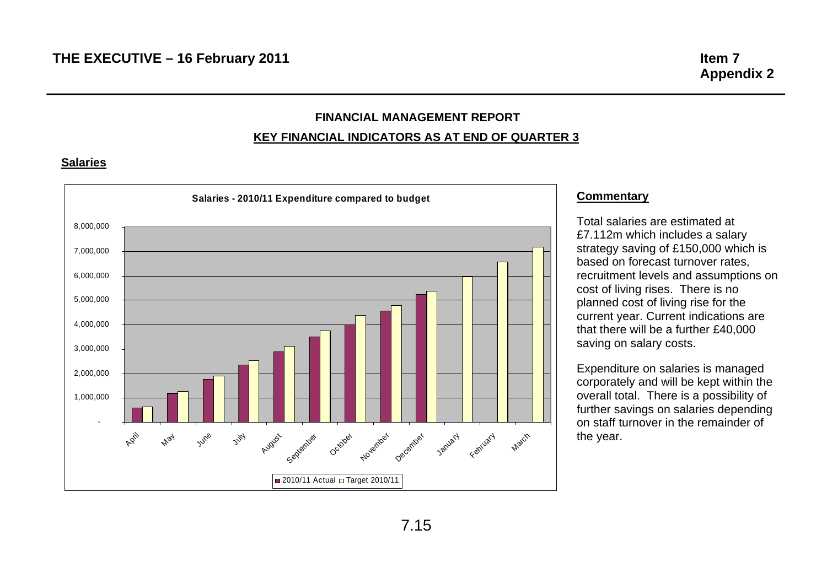# **FINANCIAL MANAGEMENT REPORT**

#### **KEY FINANCIAL INDICATORS AS AT END OF QUARTER 3**

#### **Salaries**



#### **Commentary**

Total salaries are estimated at £7.112m which includes a salary cost of living rises. There is no planned cost of living rise for the current year. Current indications are that there will be a further £40,000 saving on salary costs. strategy saving of £150,000 which is based on forecast turnover rates, recruitment levels and assumptions on

Expenditure on salaries is managed corporately and will be kept within the overall total. There is a possibility of on staff turnover in the remainder of the year. further savings on salaries depending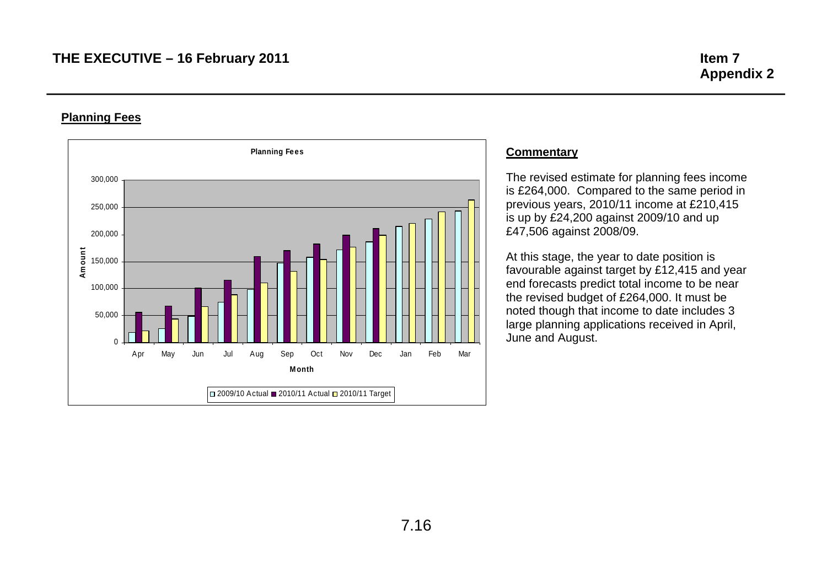#### **Planning Fees**



#### **Commentary**

The revised estimate for planning fees income is £264,000. Compared to the same period in previous years, 2010/11 income at £210,415 is up by £24,200 against 2009/10 and up £47,506 against 2008/09.

At this stage, the year to date position is favourable against target by £12,415 and year end forecasts predict total income to be near the revised budget of £264,000. It must be noted though that income to date includes 3 large planning applications received in April, June and August.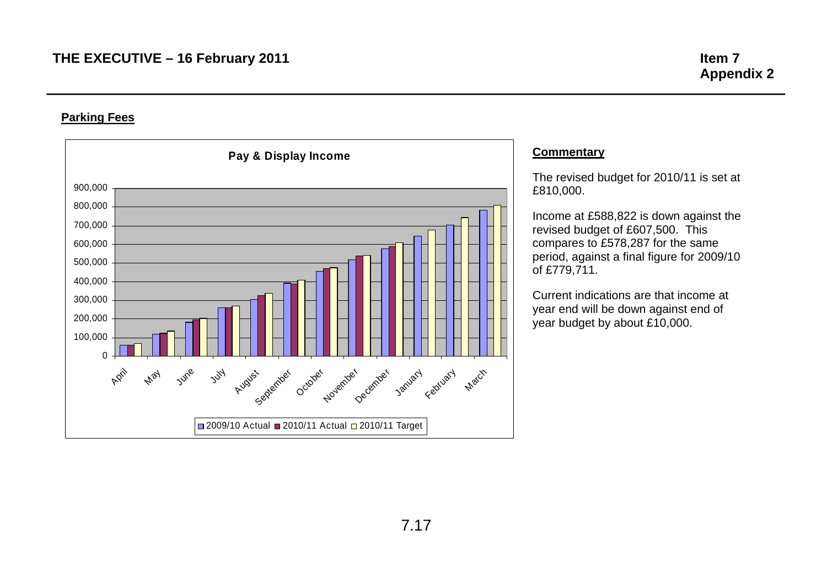#### **Parking Fees**



#### **Commentary**

The revised budget for 2010/11 is set at £810,000.

Income at £588,822 is down against the revised budget of £607,500. This compares to £578,287 for the same period, against a final figure for 2009/10 of £779,711.

Current indications are that income at year end will be down against end of year budget by about £10,000.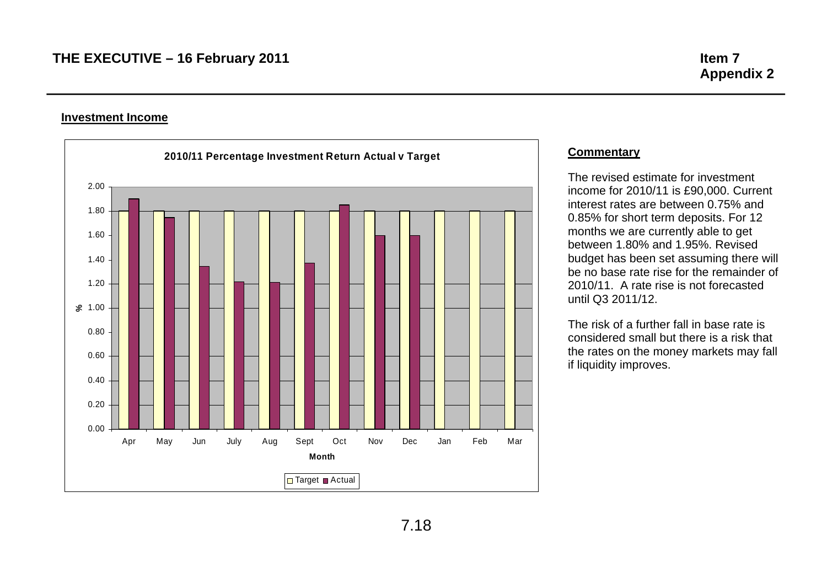#### **Investment Income**



#### **Commentary**

The revised estimate for investment income for 2010/11 is £90,000. Current interest rates are between 0.75% and 0.85% for short term deposits. For 12 months we are currently able to get between 1.80% and 1.95%. Revised budget has been set assuming there will be no base rate rise for the remainder of 2010/11. A rate rise is not forecasted until Q3 2011/12.

The risk of a further fall in base rate is considered small but there is a risk that the rates on the money markets may fall if liquidity improves.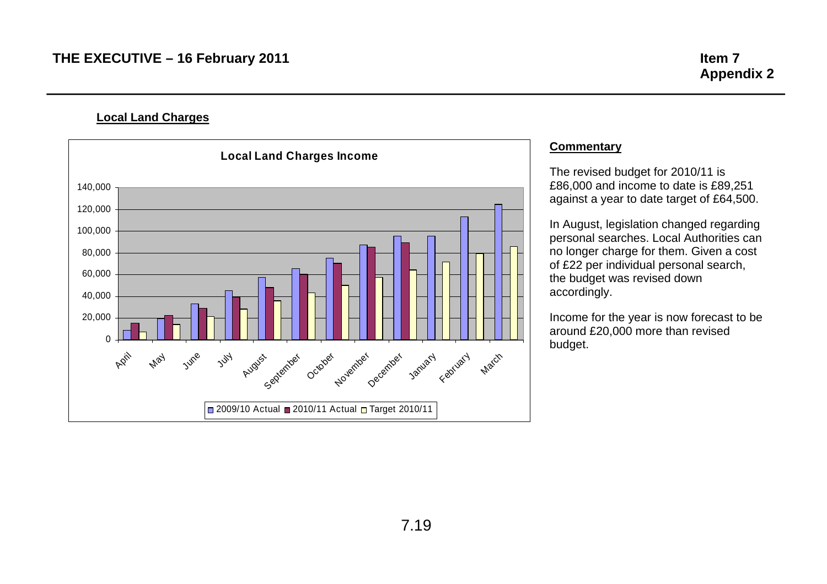**Local Land Charges** 



#### **Commentary**

The revised budget for 2010/11 is against a year to date target of £64,500. £86,000 and income to date is £89,251

the budget was revised down accordingly. In August, legislation changed regarding personal searches. Local Authorities can no longer charge for them. Given a cost of £22 per individual personal search,

around £20,000 more than revised budget. Income for the year is now forecast to be